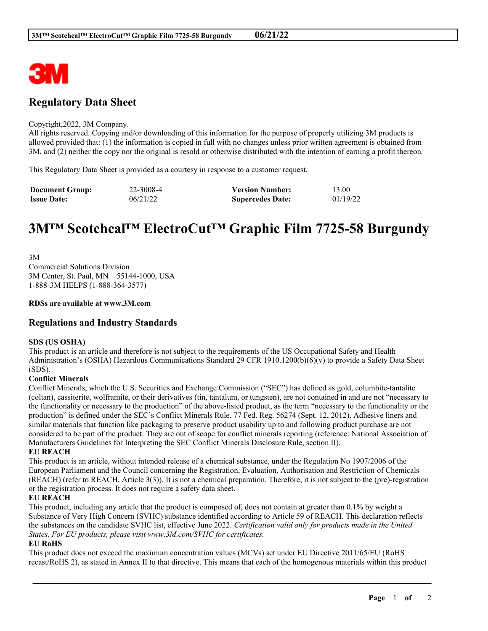

## **Regulatory Data Sheet**

#### Copyright,2022, 3M Company.

All rights reserved. Copying and/or downloading of this information for the purpose of properly utilizing 3M products is allowed provided that: (1) the information is copied in full with no changes unless prior written agreement is obtained from 3M, and (2) neither the copy nor the original is resold or otherwise distributed with the intention of earning a profit thereon.

This Regulatory Data Sheet is provided as a courtesy in response to a customer request.

| <b>Document Group:</b> | 22-3008-4 | <b>Version Number:</b>  | 13.00    |
|------------------------|-----------|-------------------------|----------|
| <b>Issue Date:</b>     | 06/21/22  | <b>Supercedes Date:</b> | 01/19/22 |

# **3M™ Scotchcal™ ElectroCut™ Graphic Film 7725-58 Burgundy**

3M Commercial Solutions Division 3M Center, St. Paul, MN 55144-1000, USA 1-888-3M HELPS (1-888-364-3577)

#### **RDSs are available at www.3M.com**

### **Regulations and Industry Standards**

#### **SDS (US OSHA)**

This product is an article and therefore is not subject to the requirements of the US Occupational Safety and Health Administration's (OSHA) Hazardous Communications Standard 29 CFR 1910.1200(b)(6)(v) to provide a Safety Data Sheet (SDS).

#### **Conflict Minerals**

Conflict Minerals, which the U.S. Securities and Exchange Commission ("SEC") has defined as gold, columbite-tantalite (coltan), cassiterite, wolframite, or their derivatives (tin, tantalum, or tungsten), are not contained in and are not "necessary to the functionality or necessary to the production" of the above-listed product, as the term "necessary to the functionality or the production" is defined under the SEC's Conflict Minerals Rule. 77 Fed. Reg. 56274 (Sept. 12, 2012). Adhesive liners and similar materials that function like packaging to preserve product usability up to and following product purchase are not considered to be part of the product. They are out of scope for conflict minerals reporting (reference: National Association of Manufacturers Guidelines for Interpreting the SEC Conflict Minerals Disclosure Rule, section II).

#### **EU REACH**

This product is an article, without intended release of a chemical substance, under the Regulation No 1907/2006 of the European Parliament and the Council concerning the Registration, Evaluation, Authorisation and Restriction of Chemicals (REACH) (refer to REACH, Article 3(3)). It is not a chemical preparation. Therefore, it is not subject to the (pre)-registration or the registration process. It does not require a safety data sheet.

#### **EU REACH**

This product, including any article that the product is composed of, does not contain at greater than 0.1% by weight a Substance of Very High Concern (SVHC) substance identified according to Article 59 of REACH. This declaration reflects the substances on the candidate SVHC list, effective June 2022. *Certification valid only for products made in the United States. For EU products, please visit www.3M.com/SVHC for certificates.*

#### **EU RoHS**

This product does not exceed the maximum concentration values (MCVs) set under EU Directive 2011/65/EU (RoHS recast/RoHS 2), as stated in Annex II to that directive. This means that each of the homogenous materials within this product

\_\_\_\_\_\_\_\_\_\_\_\_\_\_\_\_\_\_\_\_\_\_\_\_\_\_\_\_\_\_\_\_\_\_\_\_\_\_\_\_\_\_\_\_\_\_\_\_\_\_\_\_\_\_\_\_\_\_\_\_\_\_\_\_\_\_\_\_\_\_\_\_\_\_\_\_\_\_\_\_\_\_\_\_\_\_\_\_\_\_